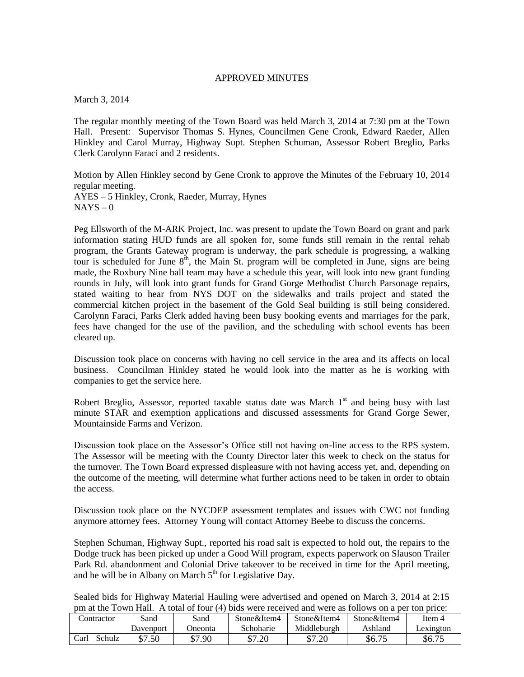## APPROVED MINUTES

March 3, 2014

The regular monthly meeting of the Town Board was held March 3, 2014 at 7:30 pm at the Town Hall. Present: Supervisor Thomas S. Hynes, Councilmen Gene Cronk, Edward Raeder, Allen Hinkley and Carol Murray, Highway Supt. Stephen Schuman, Assessor Robert Breglio, Parks Clerk Carolynn Faraci and 2 residents.

Motion by Allen Hinkley second by Gene Cronk to approve the Minutes of the February 10, 2014 regular meeting. AYES – 5 Hinkley, Cronk, Raeder, Murray, Hynes  $NAYS - 0$ 

Peg Ellsworth of the M-ARK Project, Inc. was present to update the Town Board on grant and park information stating HUD funds are all spoken for, some funds still remain in the rental rehab program, the Grants Gateway program is underway, the park schedule is progressing, a walking tour is scheduled for June  $8<sup>th</sup>$ , the Main St. program will be completed in June, signs are being made, the Roxbury Nine ball team may have a schedule this year, will look into new grant funding rounds in July, will look into grant funds for Grand Gorge Methodist Church Parsonage repairs, stated waiting to hear from NYS DOT on the sidewalks and trails project and stated the commercial kitchen project in the basement of the Gold Seal building is still being considered. Carolynn Faraci, Parks Clerk added having been busy booking events and marriages for the park, fees have changed for the use of the pavilion, and the scheduling with school events has been cleared up.

Discussion took place on concerns with having no cell service in the area and its affects on local business. Councilman Hinkley stated he would look into the matter as he is working with companies to get the service here.

Robert Breglio, Assessor, reported taxable status date was March  $1<sup>st</sup>$  and being busy with last minute STAR and exemption applications and discussed assessments for Grand Gorge Sewer, Mountainside Farms and Verizon.

Discussion took place on the Assessor's Office still not having on-line access to the RPS system. The Assessor will be meeting with the County Director later this week to check on the status for the turnover. The Town Board expressed displeasure with not having access yet, and, depending on the outcome of the meeting, will determine what further actions need to be taken in order to obtain the access.

Discussion took place on the NYCDEP assessment templates and issues with CWC not funding anymore attorney fees. Attorney Young will contact Attorney Beebe to discuss the concerns.

Stephen Schuman, Highway Supt., reported his road salt is expected to hold out, the repairs to the Dodge truck has been picked up under a Good Will program, expects paperwork on Slauson Trailer Park Rd. abandonment and Colonial Drive takeover to be received in time for the April meeting, and he will be in Albany on March  $5<sup>th</sup>$  for Legislative Day.

Sealed bids for Highway Material Hauling were advertised and opened on March 3, 2014 at 2:15 pm at the Town Hall. A total of four (4) bids were received and were as follows on a per ton price:

| 01w0 11 <b>010 10001</b> 100 0010 11010 00 10110 110 011 0 001 1011 011001 |           |         |             |             |             |           |
|----------------------------------------------------------------------------|-----------|---------|-------------|-------------|-------------|-----------|
| Contractor                                                                 | Sand      | Sand    | Stone&Item4 | Stone&Item4 | Stone&Item4 | Item 4    |
|                                                                            | Davenport | Jneonta | Schoharie   | Middleburgh | Ashland     | Lexington |
| Schulz<br>Carl                                                             | \$7.50    | \$7.90  | \$7.20      | \$7.20      | \$6.75      | \$6.75    |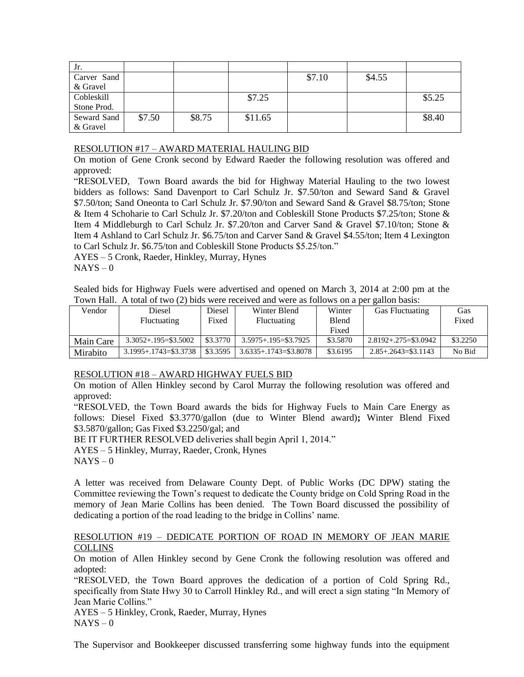| Jr.         |        |        |         |        |        |        |
|-------------|--------|--------|---------|--------|--------|--------|
| Carver Sand |        |        |         | \$7.10 | \$4.55 |        |
| & Gravel    |        |        |         |        |        |        |
| Cobleskill  |        |        | \$7.25  |        |        | \$5.25 |
| Stone Prod. |        |        |         |        |        |        |
| Seward Sand | \$7.50 | \$8.75 | \$11.65 |        |        | \$8.40 |
| & Gravel    |        |        |         |        |        |        |

## RESOLUTION #17 – AWARD MATERIAL HAULING BID

On motion of Gene Cronk second by Edward Raeder the following resolution was offered and approved:

"RESOLVED, Town Board awards the bid for Highway Material Hauling to the two lowest bidders as follows: Sand Davenport to Carl Schulz Jr. \$7.50/ton and Seward Sand & Gravel \$7.50/ton; Sand Oneonta to Carl Schulz Jr. \$7.90/ton and Seward Sand & Gravel \$8.75/ton; Stone & Item 4 Schoharie to Carl Schulz Jr. \$7.20/ton and Cobleskill Stone Products \$7.25/ton; Stone & Item 4 Middleburgh to Carl Schulz Jr. \$7.20/ton and Carver Sand & Gravel \$7.10/ton; Stone & Item 4 Ashland to Carl Schulz Jr. \$6.75/ton and Carver Sand & Gravel \$4.55/ton; Item 4 Lexington to Carl Schulz Jr. \$6.75/ton and Cobleskill Stone Products \$5.25/ton."

AYES – 5 Cronk, Raeder, Hinkley, Murray, Hynes  $NAYS - 0$ 

Sealed bids for Highway Fuels were advertised and opened on March 3, 2014 at 2:00 pm at the Town Hall. A total of two (2) bids were received and were as follows on a per gallon basis:

| Vendor    | Diesel                    | Diesel   | Winter Blend              | Winter       | <b>Gas Fluctuating</b>     | Gas      |
|-----------|---------------------------|----------|---------------------------|--------------|----------------------------|----------|
|           | <b>Fluctuating</b>        | Fixed    | <b>Fluctuating</b>        | <b>Blend</b> |                            | Fixed    |
|           |                           |          |                           | Fixed        |                            |          |
| Main Care | $3.3052 + 195 = $3.5002$  | \$3,3770 | $3.5975 + 195 = $3.7925$  | \$3.5870     | $2.8192 + 0.275 = $3.0942$ | \$3,2250 |
| Mirabito  | $3.1995 + 1743 = $3.3738$ | \$3,3595 | $3.6335 + 1743 = $3.8078$ | \$3.6195     | $2.85 + 0.2643 = $3.1143$  | No Bid   |

## RESOLUTION #18 – AWARD HIGHWAY FUELS BID

On motion of Allen Hinkley second by Carol Murray the following resolution was offered and approved:

"RESOLVED, the Town Board awards the bids for Highway Fuels to Main Care Energy as follows: Diesel Fixed \$3.3770/gallon (due to Winter Blend award)**;** Winter Blend Fixed \$3.5870/gallon; Gas Fixed \$3.2250/gal; and

BE IT FURTHER RESOLVED deliveries shall begin April 1, 2014."

AYES – 5 Hinkley, Murray, Raeder, Cronk, Hynes

 $NAYS - 0$ 

A letter was received from Delaware County Dept. of Public Works (DC DPW) stating the Committee reviewing the Town's request to dedicate the County bridge on Cold Spring Road in the memory of Jean Marie Collins has been denied. The Town Board discussed the possibility of dedicating a portion of the road leading to the bridge in Collins' name.

## RESOLUTION #19 – DEDICATE PORTION OF ROAD IN MEMORY OF JEAN MARIE **COLLINS**

On motion of Allen Hinkley second by Gene Cronk the following resolution was offered and adopted:

"RESOLVED, the Town Board approves the dedication of a portion of Cold Spring Rd., specifically from State Hwy 30 to Carroll Hinkley Rd., and will erect a sign stating "In Memory of Jean Marie Collins."

AYES – 5 Hinkley, Cronk, Raeder, Murray, Hynes  $NAYS - 0$ 

The Supervisor and Bookkeeper discussed transferring some highway funds into the equipment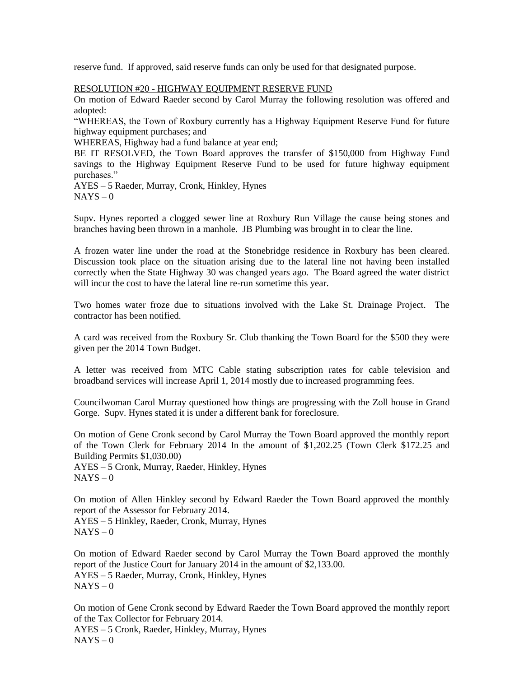reserve fund. If approved, said reserve funds can only be used for that designated purpose.

RESOLUTION #20 - HIGHWAY EQUIPMENT RESERVE FUND

On motion of Edward Raeder second by Carol Murray the following resolution was offered and adopted:

"WHEREAS, the Town of Roxbury currently has a Highway Equipment Reserve Fund for future highway equipment purchases; and

WHEREAS, Highway had a fund balance at year end;

BE IT RESOLVED, the Town Board approves the transfer of \$150,000 from Highway Fund savings to the Highway Equipment Reserve Fund to be used for future highway equipment purchases."

AYES – 5 Raeder, Murray, Cronk, Hinkley, Hynes  $NAYS - 0$ 

Supv. Hynes reported a clogged sewer line at Roxbury Run Village the cause being stones and branches having been thrown in a manhole. JB Plumbing was brought in to clear the line.

A frozen water line under the road at the Stonebridge residence in Roxbury has been cleared. Discussion took place on the situation arising due to the lateral line not having been installed correctly when the State Highway 30 was changed years ago. The Board agreed the water district will incur the cost to have the lateral line re-run sometime this year.

Two homes water froze due to situations involved with the Lake St. Drainage Project. The contractor has been notified.

A card was received from the Roxbury Sr. Club thanking the Town Board for the \$500 they were given per the 2014 Town Budget.

A letter was received from MTC Cable stating subscription rates for cable television and broadband services will increase April 1, 2014 mostly due to increased programming fees.

Councilwoman Carol Murray questioned how things are progressing with the Zoll house in Grand Gorge. Supv. Hynes stated it is under a different bank for foreclosure.

On motion of Gene Cronk second by Carol Murray the Town Board approved the monthly report of the Town Clerk for February 2014 In the amount of \$1,202.25 (Town Clerk \$172.25 and Building Permits \$1,030.00)

AYES – 5 Cronk, Murray, Raeder, Hinkley, Hynes  $NAYS - 0$ 

On motion of Allen Hinkley second by Edward Raeder the Town Board approved the monthly report of the Assessor for February 2014.

AYES – 5 Hinkley, Raeder, Cronk, Murray, Hynes  $NAYS - 0$ 

On motion of Edward Raeder second by Carol Murray the Town Board approved the monthly report of the Justice Court for January 2014 in the amount of \$2,133.00. AYES – 5 Raeder, Murray, Cronk, Hinkley, Hynes  $NAYS - 0$ 

On motion of Gene Cronk second by Edward Raeder the Town Board approved the monthly report of the Tax Collector for February 2014. AYES – 5 Cronk, Raeder, Hinkley, Murray, Hynes  $NAYS - 0$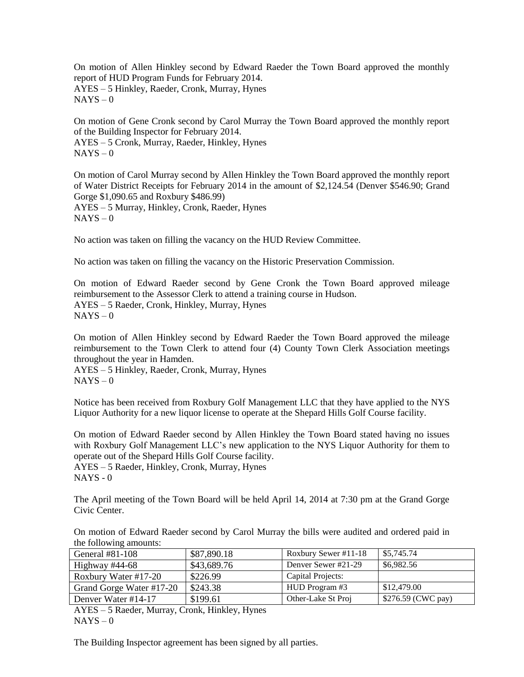On motion of Allen Hinkley second by Edward Raeder the Town Board approved the monthly report of HUD Program Funds for February 2014. AYES – 5 Hinkley, Raeder, Cronk, Murray, Hynes  $NAYS - 0$ 

On motion of Gene Cronk second by Carol Murray the Town Board approved the monthly report of the Building Inspector for February 2014. AYES – 5 Cronk, Murray, Raeder, Hinkley, Hynes  $NAYS - 0$ 

On motion of Carol Murray second by Allen Hinkley the Town Board approved the monthly report of Water District Receipts for February 2014 in the amount of \$2,124.54 (Denver \$546.90; Grand Gorge \$1,090.65 and Roxbury \$486.99) AYES – 5 Murray, Hinkley, Cronk, Raeder, Hynes  $NAYS - 0$ 

No action was taken on filling the vacancy on the HUD Review Committee.

No action was taken on filling the vacancy on the Historic Preservation Commission.

On motion of Edward Raeder second by Gene Cronk the Town Board approved mileage reimbursement to the Assessor Clerk to attend a training course in Hudson. AYES – 5 Raeder, Cronk, Hinkley, Murray, Hynes  $NAYS - 0$ 

On motion of Allen Hinkley second by Edward Raeder the Town Board approved the mileage reimbursement to the Town Clerk to attend four (4) County Town Clerk Association meetings throughout the year in Hamden.

AYES – 5 Hinkley, Raeder, Cronk, Murray, Hynes  $NAYS - 0$ 

Notice has been received from Roxbury Golf Management LLC that they have applied to the NYS Liquor Authority for a new liquor license to operate at the Shepard Hills Golf Course facility.

On motion of Edward Raeder second by Allen Hinkley the Town Board stated having no issues with Roxbury Golf Management LLC's new application to the NYS Liquor Authority for them to operate out of the Shepard Hills Golf Course facility.

AYES – 5 Raeder, Hinkley, Cronk, Murray, Hynes NAYS - 0

The April meeting of the Town Board will be held April 14, 2014 at 7:30 pm at the Grand Gorge Civic Center.

On motion of Edward Raeder second by Carol Murray the bills were audited and ordered paid in the following amounts:

| General $#81-108$        | \$87,890.18 | Roxbury Sewer #11-18 | \$5,745.74         |  |  |
|--------------------------|-------------|----------------------|--------------------|--|--|
| Highway $\#44-68$        | \$43,689.76 | Denver Sewer #21-29  | \$6,982.56         |  |  |
| Roxbury Water #17-20     | \$226.99    | Capital Projects:    |                    |  |  |
| Grand Gorge Water #17-20 | \$243.38    | HUD Program #3       | \$12,479.00        |  |  |
| Denver Water #14-17      | \$199.61    | Other-Lake St Proj   | \$276.59 (CWC pay) |  |  |
|                          |             |                      |                    |  |  |

AYES – 5 Raeder, Murray, Cronk, Hinkley, Hynes  $NAYS - 0$ 

The Building Inspector agreement has been signed by all parties.